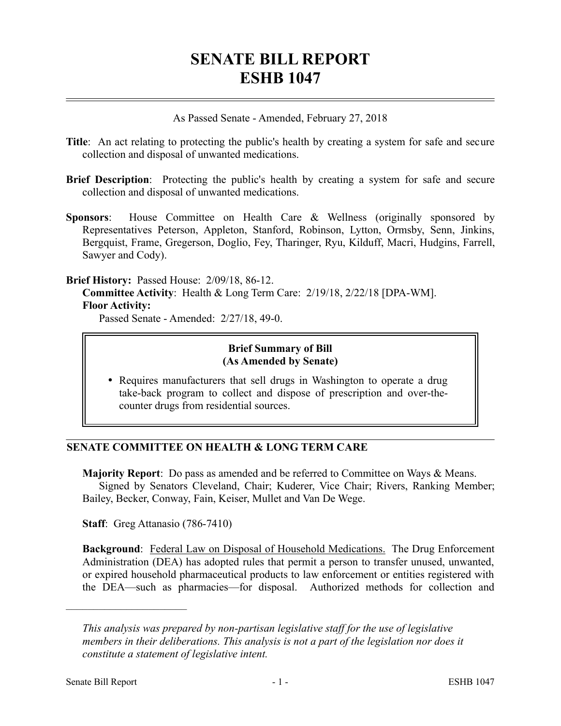# **SENATE BILL REPORT ESHB 1047**

As Passed Senate - Amended, February 27, 2018

- **Title**: An act relating to protecting the public's health by creating a system for safe and secure collection and disposal of unwanted medications.
- **Brief Description**: Protecting the public's health by creating a system for safe and secure collection and disposal of unwanted medications.
- **Sponsors**: House Committee on Health Care & Wellness (originally sponsored by Representatives Peterson, Appleton, Stanford, Robinson, Lytton, Ormsby, Senn, Jinkins, Bergquist, Frame, Gregerson, Doglio, Fey, Tharinger, Ryu, Kilduff, Macri, Hudgins, Farrell, Sawyer and Cody).

#### **Brief History:** Passed House: 2/09/18, 86-12.

**Committee Activity**: Health & Long Term Care: 2/19/18, 2/22/18 [DPA-WM]. **Floor Activity:**

Passed Senate - Amended: 2/27/18, 49-0.

#### **Brief Summary of Bill (As Amended by Senate)**

 Requires manufacturers that sell drugs in Washington to operate a drug take-back program to collect and dispose of prescription and over-thecounter drugs from residential sources.

## **SENATE COMMITTEE ON HEALTH & LONG TERM CARE**

**Majority Report**: Do pass as amended and be referred to Committee on Ways & Means. Signed by Senators Cleveland, Chair; Kuderer, Vice Chair; Rivers, Ranking Member; Bailey, Becker, Conway, Fain, Keiser, Mullet and Van De Wege.

**Staff**: Greg Attanasio (786-7410)

**Background:** Federal Law on Disposal of Household Medications. The Drug Enforcement Administration (DEA) has adopted rules that permit a person to transfer unused, unwanted, or expired household pharmaceutical products to law enforcement or entities registered with the DEA—such as pharmacies—for disposal. Authorized methods for collection and

––––––––––––––––––––––

*This analysis was prepared by non-partisan legislative staff for the use of legislative members in their deliberations. This analysis is not a part of the legislation nor does it constitute a statement of legislative intent.*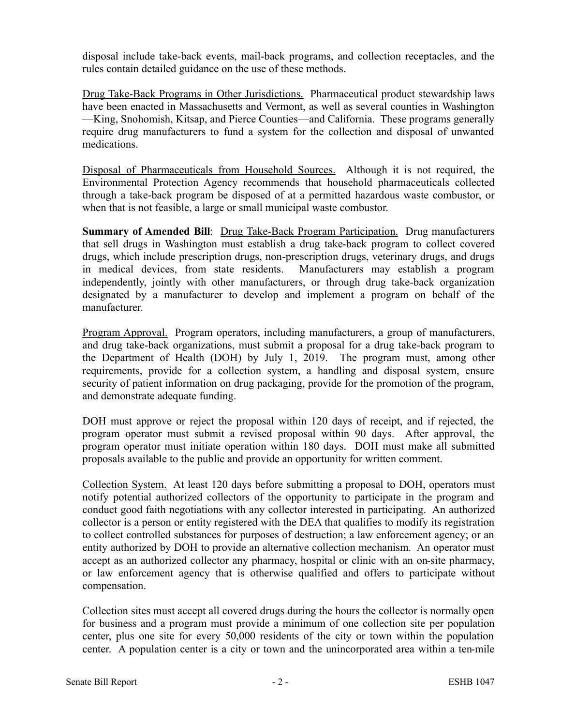disposal include take-back events, mail-back programs, and collection receptacles, and the rules contain detailed guidance on the use of these methods.

Drug Take-Back Programs in Other Jurisdictions. Pharmaceutical product stewardship laws have been enacted in Massachusetts and Vermont, as well as several counties in Washington —King, Snohomish, Kitsap, and Pierce Counties—and California. These programs generally require drug manufacturers to fund a system for the collection and disposal of unwanted medications.

Disposal of Pharmaceuticals from Household Sources. Although it is not required, the Environmental Protection Agency recommends that household pharmaceuticals collected through a take-back program be disposed of at a permitted hazardous waste combustor, or when that is not feasible, a large or small municipal waste combustor.

**Summary of Amended Bill:** Drug Take-Back Program Participation. Drug manufacturers that sell drugs in Washington must establish a drug take-back program to collect covered drugs, which include prescription drugs, non-prescription drugs, veterinary drugs, and drugs in medical devices, from state residents. Manufacturers may establish a program independently, jointly with other manufacturers, or through drug take-back organization designated by a manufacturer to develop and implement a program on behalf of the manufacturer.

Program Approval. Program operators, including manufacturers, a group of manufacturers, and drug take-back organizations, must submit a proposal for a drug take-back program to the Department of Health (DOH) by July 1, 2019. The program must, among other requirements, provide for a collection system, a handling and disposal system, ensure security of patient information on drug packaging, provide for the promotion of the program, and demonstrate adequate funding.

DOH must approve or reject the proposal within 120 days of receipt, and if rejected, the program operator must submit a revised proposal within 90 days. After approval, the program operator must initiate operation within 180 days. DOH must make all submitted proposals available to the public and provide an opportunity for written comment.

Collection System. At least 120 days before submitting a proposal to DOH, operators must notify potential authorized collectors of the opportunity to participate in the program and conduct good faith negotiations with any collector interested in participating. An authorized collector is a person or entity registered with the DEA that qualifies to modify its registration to collect controlled substances for purposes of destruction; a law enforcement agency; or an entity authorized by DOH to provide an alternative collection mechanism. An operator must accept as an authorized collector any pharmacy, hospital or clinic with an on-site pharmacy, or law enforcement agency that is otherwise qualified and offers to participate without compensation.

Collection sites must accept all covered drugs during the hours the collector is normally open for business and a program must provide a minimum of one collection site per population center, plus one site for every 50,000 residents of the city or town within the population center. A population center is a city or town and the unincorporated area within a ten-mile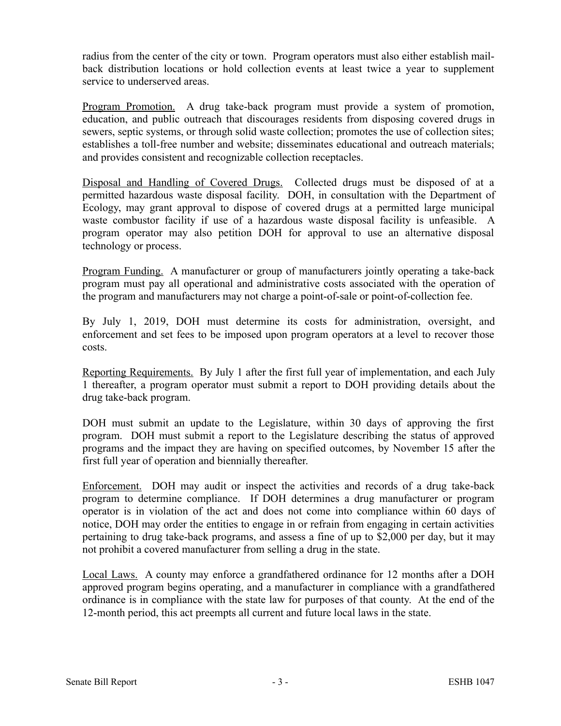radius from the center of the city or town. Program operators must also either establish mailback distribution locations or hold collection events at least twice a year to supplement service to underserved areas.

Program Promotion. A drug take-back program must provide a system of promotion, education, and public outreach that discourages residents from disposing covered drugs in sewers, septic systems, or through solid waste collection; promotes the use of collection sites; establishes a toll-free number and website; disseminates educational and outreach materials; and provides consistent and recognizable collection receptacles.

Disposal and Handling of Covered Drugs. Collected drugs must be disposed of at a permitted hazardous waste disposal facility. DOH, in consultation with the Department of Ecology, may grant approval to dispose of covered drugs at a permitted large municipal waste combustor facility if use of a hazardous waste disposal facility is unfeasible. A program operator may also petition DOH for approval to use an alternative disposal technology or process.

Program Funding. A manufacturer or group of manufacturers jointly operating a take-back program must pay all operational and administrative costs associated with the operation of the program and manufacturers may not charge a point-of-sale or point-of-collection fee.

By July 1, 2019, DOH must determine its costs for administration, oversight, and enforcement and set fees to be imposed upon program operators at a level to recover those costs.

Reporting Requirements. By July 1 after the first full year of implementation, and each July 1 thereafter, a program operator must submit a report to DOH providing details about the drug take-back program.

DOH must submit an update to the Legislature, within 30 days of approving the first program. DOH must submit a report to the Legislature describing the status of approved programs and the impact they are having on specified outcomes, by November 15 after the first full year of operation and biennially thereafter.

Enforcement. DOH may audit or inspect the activities and records of a drug take-back program to determine compliance. If DOH determines a drug manufacturer or program operator is in violation of the act and does not come into compliance within 60 days of notice, DOH may order the entities to engage in or refrain from engaging in certain activities pertaining to drug take-back programs, and assess a fine of up to \$2,000 per day, but it may not prohibit a covered manufacturer from selling a drug in the state.

Local Laws. A county may enforce a grandfathered ordinance for 12 months after a DOH approved program begins operating, and a manufacturer in compliance with a grandfathered ordinance is in compliance with the state law for purposes of that county. At the end of the 12-month period, this act preempts all current and future local laws in the state.